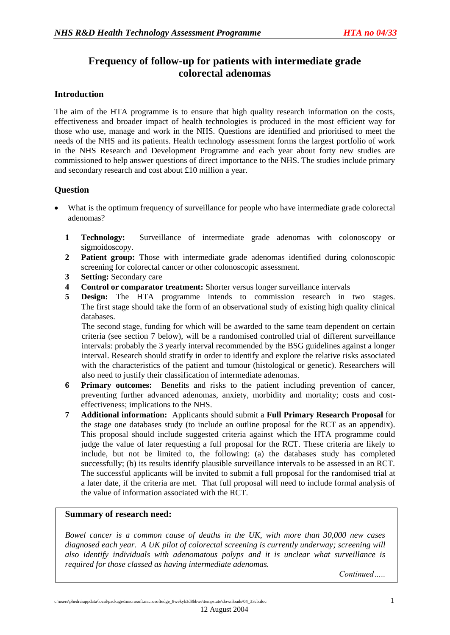# **Frequency of follow-up for patients with intermediate grade colorectal adenomas**

## **Introduction**

The aim of the HTA programme is to ensure that high quality research information on the costs, effectiveness and broader impact of health technologies is produced in the most efficient way for those who use, manage and work in the NHS. Questions are identified and prioritised to meet the needs of the NHS and its patients. Health technology assessment forms the largest portfolio of work in the NHS Research and Development Programme and each year about forty new studies are commissioned to help answer questions of direct importance to the NHS. The studies include primary and secondary research and cost about £10 million a year.

## **Question**

- What is the optimum frequency of surveillance for people who have intermediate grade colorectal adenomas?
	- **1 Technology:** Surveillance of intermediate grade adenomas with colonoscopy or sigmoidoscopy.
	- **2 Patient group:** Those with intermediate grade adenomas identified during colonoscopic screening for colorectal cancer or other colonoscopic assessment.
	- **3 Setting:** Secondary care
	- **4 Control or comparator treatment:** Shorter versus longer surveillance intervals
	- **5 Design:** The HTA programme intends to commission research in two stages. The first stage should take the form of an observational study of existing high quality clinical databases.

The second stage, funding for which will be awarded to the same team dependent on certain criteria (see section 7 below), will be a randomised controlled trial of different surveillance intervals: probably the 3 yearly interval recommended by the BSG guidelines against a longer interval. Research should stratify in order to identify and explore the relative risks associated with the characteristics of the patient and tumour (histological or genetic). Researchers will also need to justify their classification of intermediate adenomas.

- **6 Primary outcomes:** Benefits and risks to the patient including prevention of cancer, preventing further advanced adenomas, anxiety, morbidity and mortality; costs and costeffectiveness; implications to the NHS.
- **7 Additional information:** Applicants should submit a **Full Primary Research Proposal** for the stage one databases study (to include an outline proposal for the RCT as an appendix). This proposal should include suggested criteria against which the HTA programme could judge the value of later requesting a full proposal for the RCT. These criteria are likely to include, but not be limited to, the following: (a) the databases study has completed successfully; (b) its results identify plausible surveillance intervals to be assessed in an RCT. The successful applicants will be invited to submit a full proposal for the randomised trial at a later date, if the criteria are met. That full proposal will need to include formal analysis of the value of information associated with the RCT.

## **Summary of research need:**

*Bowel cancer is a common cause of deaths in the UK, with more than 30,000 new cases diagnosed each year. A UK pilot of colorectal screening is currently underway; screening will also identify individuals with adenomatous polyps and it is unclear what surveillance is required for those classed as having intermediate adenomas.*

*Continued…..*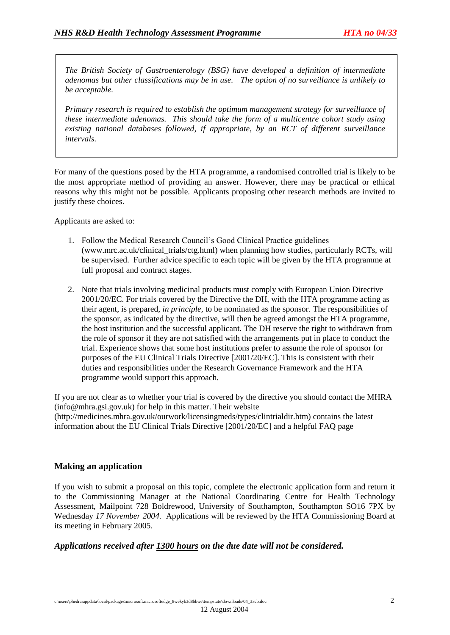*The British Society of Gastroenterology (BSG) have developed a definition of intermediate adenomas but other classifications may be in use. The option of no surveillance is unlikely to be acceptable.*

*Primary research is required to establish the optimum management strategy for surveillance of these intermediate adenomas. This should take the form of a multicentre cohort study using existing national databases followed, if appropriate, by an RCT of different surveillance intervals.*

For many of the questions posed by the HTA programme, a randomised controlled trial is likely to be the most appropriate method of providing an answer. However, there may be practical or ethical reasons why this might not be possible. Applicants proposing other research methods are invited to justify these choices.

Applicants are asked to:

- 1. Follow the Medical Research Council's Good Clinical Practice guidelines (www.mrc.ac.uk/clinical\_trials/ctg.html) when planning how studies, particularly RCTs, will be supervised. Further advice specific to each topic will be given by the HTA programme at full proposal and contract stages.
- 2. Note that trials involving medicinal products must comply with European Union Directive 2001/20/EC. For trials covered by the Directive the DH, with the HTA programme acting as their agent, is prepared, *in principle,* to be nominated as the sponsor. The responsibilities of the sponsor, as indicated by the directive, will then be agreed amongst the HTA programme, the host institution and the successful applicant. The DH reserve the right to withdrawn from the role of sponsor if they are not satisfied with the arrangements put in place to conduct the trial. Experience shows that some host institutions prefer to assume the role of sponsor for purposes of the EU Clinical Trials Directive [2001/20/EC]. This is consistent with their duties and responsibilities under the Research Governance Framework and the HTA programme would support this approach.

If you are not clear as to whether your trial is covered by the directive you should contact the MHRA (info@mhra.gsi.gov.uk) for help in this matter. Their website (http://medicines.mhra.gov.uk/ourwork/licensingmeds/types/clintrialdir.htm) contains the latest information about the EU Clinical Trials Directive [2001/20/EC] and a helpful FAQ page

## **Making an application**

If you wish to submit a proposal on this topic, complete the electronic application form and return it to the Commissioning Manager at the National Coordinating Centre for Health Technology Assessment, Mailpoint 728 Boldrewood, University of Southampton, Southampton SO16 7PX by Wednesday *17 November 2004.* Applications will be reviewed by the HTA Commissioning Board at its meeting in February 2005.

## *Applications received after 1300 hours on the due date will not be considered.*